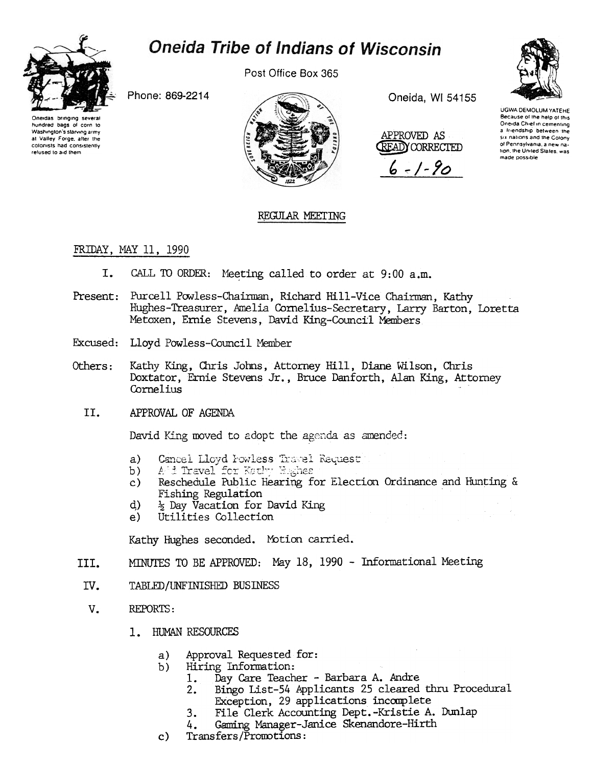

# **Oneida Tribe of Indians of Wisconsin**

Post Office Box 365

Phone: 869-2214



Oneida, WI 54155





UGWA DEMOLUM YATEHE Because of the help of this Oneida Chief in cementing a Iriendship between the six nations and the Colony of Pennsylvania a new na tion, the United States, was made possible

# REGULAR MEETING

## FRIDAY, MAY 11, 1990

- CALL TO ORDER: Meeting called to order at 9:00 a.m. I.
- Present: Purcell Powless-Chairman, Richard Hill-Vice Chairman, Kathy Hughes-Treasurer, Amelia Cornelius-Secretary, Larry Barton, Loretta Metoxen, Ernie Stevens, David King-Council Members
- Excused: Lloyd Powless-Council Member
- Others: Kathy King, Chris Johns, Attorney Hill, Diane Wilson, Chris Doxtator, Ernie Stevens Jr., Bruce Danforth, Alan King, Attorney Cornelius
	- II. APPROVAL OF AGENDA

David King moved to adopt the agenda as amended:

- Cancel Lloyd Fowless Travel Request a)
- $b)$
- Reschedule Public Hearing for Election Ordinance and Hunting &  $\mathbf{c}$ ) Fishing Regulation
- **Evaluary** Day Vacation for David King  $\rm d$
- Utilities Collection  $e)$

Kathy Hughes seconded. Motion carried.

- MINUTES TO BE APPROVED: May 18, 1990 Informational Meeting III.
- TABLED/UNFINISHED BUSINESS IV.
- $V_{\bullet}$ REPORTS:
	- 1. HUMAN RESOURCES
		- Approval Requested for: a)
		- $b)$ Hiring Information:
			- Day Care Teacher Barbara A. Andre 1.
			- Bingo List-54 Applicants 25 cleared thru Procedural  $2.$ Exception, 29 applications incomplete
			- File Clerk Accounting Dept.-Kristie A. Dunlap  $3.$
			- Gaming Manager-Janice Skenandore-Hirth 4.
		- Transfers/Promotions:  $\mathbf{c}$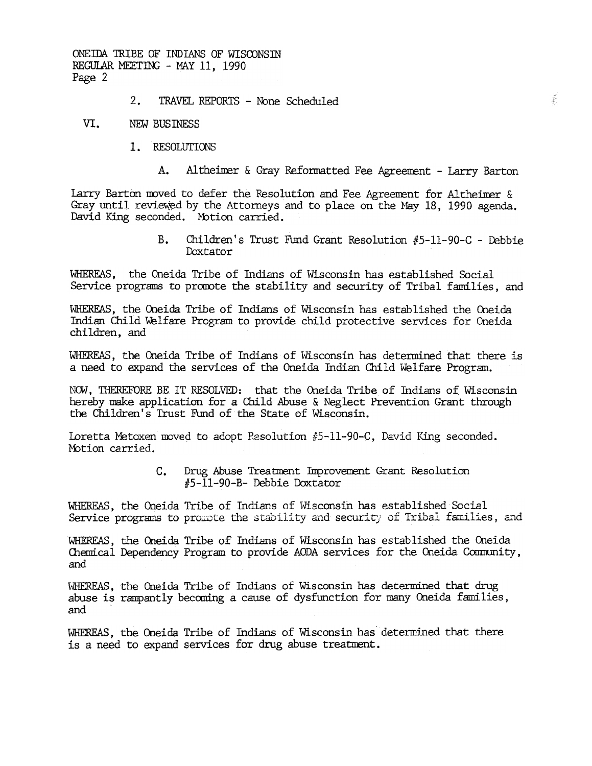ONEIDA TRIBE OF INDIANS OF WISCONSIN REGULAR MEETING - MAY 11, 1990 Page 2

#### $2.1$ TRAVEL REPORTS - None Scheduled

#### VI. **NEW BUSINESS**

- 1. RESOLUTIONS
	- $A_{\bullet}$ Altheimer & Gray Reformatted Fee Agreement - Larry Barton

Larry Barton moved to defer the Resolution and Fee Agreement for Altheimer & Gray until reviewed by the Attorneys and to place on the May 18, 1990 agenda. David King seconded. Motion carried.

> $B<sub>1</sub>$ Children's Trust Fund Grant Resolution #5-11-90-C - Debbie Doxtator

WHEREAS, the Oneida Tribe of Indians of Wisconsin has established Social Service programs to promote the stability and security of Tribal families, and

WHEREAS, the Oneida Tribe of Indians of Wisconsin has established the Oneida Indian Child Welfare Program to provide child protective services for Oneida children, and

WHEREAS, the Oneida Tribe of Indians of Wisconsin has determined that there is a need to expand the services of the Oneida Indian Child Welfare Program.

NOW, THEREFORE BE IT RESOLVED: that the Oneida Tribe of Indians of Wisconsin hereby make application for a Child Abuse & Neglect Prevention Grant through the Children's Trust Fund of the State of Wisconsin.

Loretta Metoxen moved to adopt Resolution #5-11-90-C, David King seconded. Motion carried.

> $C_{\bullet}$ Drug Abuse Treatment Improvement Grant Resolution #5-11-90-B- Debbie Doxtator

WHEREAS, the Oneida Tribe of Indians of Wisconsin has established Social Service programs to promote the stability and security of Tribal families, and

WHEREAS, the Oneida Tribe of Indians of Wisconsin has established the Oneida Chemical Dependency Program to provide AODA services for the Oneida Community, and

WHEREAS, the Oneida Tribe of Indians of Wisconsin has determined that drug abuse is rampantly becoming a cause of dysfunction for many Oneida families, and

WHEREAS, the Oneida Tribe of Indians of Wisconsin has determined that there is a need to expand services for drug abuse treatment.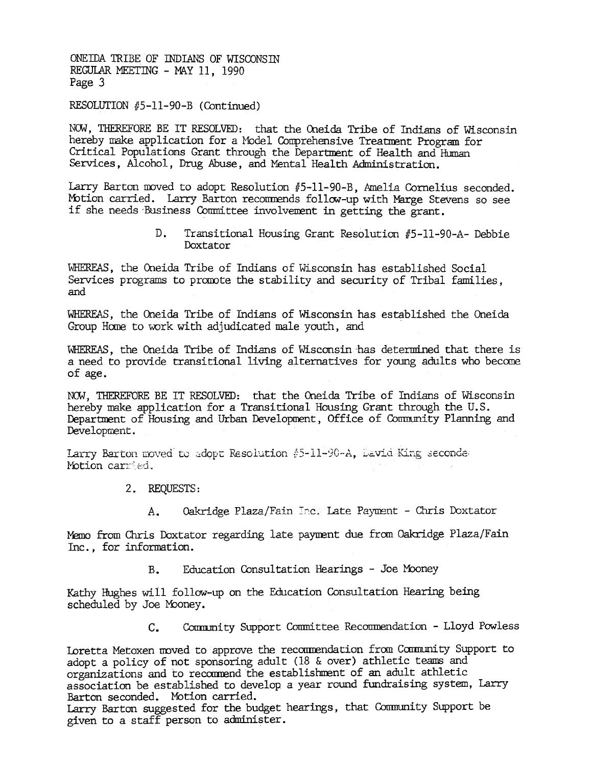ONE IDA TRIBE OF INDIANS OF WISCONSIN REGULAR MEETING - MAY 11, 1990 Page 3

### RESOLUTION #5-11-90-B (Continued)

NOW, THEREFORE BE IT RESOLVED: that the Oneida Tribe of Indians of Wisconsin hereby make application for a Model Comprehensive Treatment Program for Critical Populations Grant through the Department of Health and Human Services, Alcohol, Drug Abuse, and Mental Health Administration.

Larry Barton moved to adopt Resolution #5-11-90-B, Amelia Cornelius seconded. Motion carried. Larry Barton recommends follow-up with Marge Stevens so see if she needs Business Committee involvement in getting the grant.

> Transitional Housing Grant Resolution #5-11-90-A- Debbie D. Doxtator

WHEREAS, the Oneida Tribe of Indians of Wisconsin has established Social Services programs to promote the stability and security of Tribal families, and

WHEREAS, the Oneida Tribe of Indians of Wisconsin has established the Oneida Group Home to work with adjudicated male youth, and

WHEREAS, the Oneida Tribe of Indians of Wisconsin has determined that there is a need to provide transitional living alternatives for young adults who become of age.

NOW. THEREFORE BE IT RESOLVED: that the Oneida Tribe of Indians of Wisconsin hereby make application for a Transitional Housing Grant through the U.S. Department of Housing and Urban Development, Office of Community Planning and Development.

Larry Barton moved to adopt Resolution #5-11-90-A, David King seconder Motion carried.

- 2. REQUESTS:
	- Oakridge Plaza/Fain Inc. Late Payment Chris Doxtator  $A_{\bullet}$

Memo from Chris Doxtator regarding late payment due from Oakridge Plaza/Fain Inc., for information.

> Education Consultation Hearings - Joe Mooney  $B_{\star}$

Kathy Hughes will follow-up on the Education Consultation Hearing being scheduled by Joe Mooney.

> Community Support Committee Recommendation - Lloyd Powless  $C_{\bullet}$

Loretta Metoxen moved to approve the recommendation from Community Support to adopt a policy of not sponsoring adult (18 & over) athletic teams and organizations and to recommend the establishment of an adult athletic association be established to develop a year round fundraising system, Larry Barton seconded. Motion carried.

Larry Barton suggested for the budget hearings, that Community Support be given to a staff person to administer.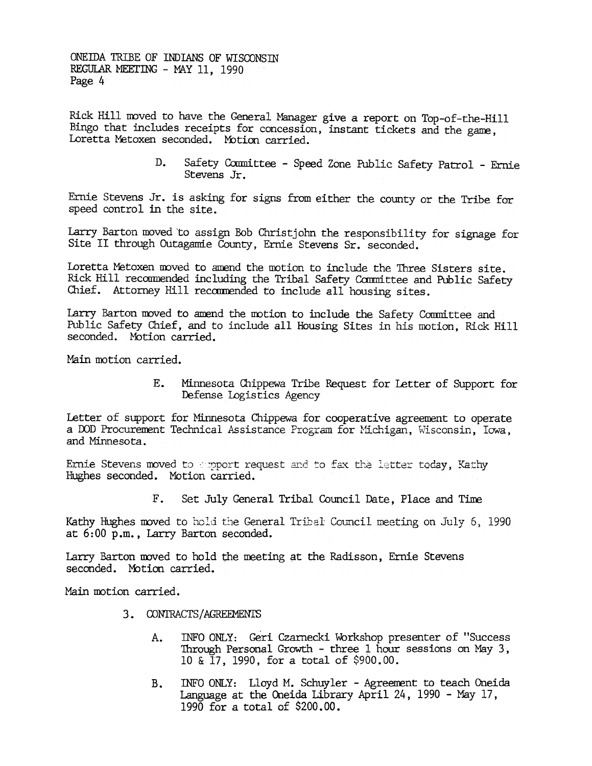ONEIDA TRIBE OF INDIANS OF WISCONSTN REGULAR MEETING - MAY 11, 1990 Page 4

Rick Hill moved to have the General Manager give a report on Top-of-the-Hill Bingo that includes receipts for concession, instant tickets and the game, Loretta Metoxen seconded. Motion carried.

> D. Safety Committee - Speed Zone Public Safety Patrol - Ernie Stevens Jr.

Ernie Stevens Jr. is asking for signs from either the county or the Tribe for speed control in the site.

Larry Barton moved to assign Bob Christjohn the responsibility for signage for Site II through Outagamie County, Ernie Stevens Sr. seconded.

Loretta Metoxen moved to amend the motion to include the Three Sisters site. Rick Hill recommended including the Tribal Safety Committee and Public Safety Chief. Attorney Hill recommended to include all housing sites.

Larry Barton moved to amend the motion to include the Safety Committee and Public Safety Chief, and to include all Housing Sites in his motion, Rick Hill seconded. Motion carried.

Main motion carried.

 $E_{-}$ Minnesota Chippewa Tribe Request for Letter of Support for Defense Logistics Agency

Letter of support for Minnesota Chippewa for cooperative agreement to operate a DOD Procurement Technical Assistance Program for Michigan, Wisconsin, Iowa, and Minnesota.

Ernie Stevens moved to apport request and to fax the letter today, Kathy Hughes seconded. Motion carried.

> Set July General Tribal Council Date, Place and Time  $\mathbf{F}_{\bullet}$

Kathy Hughes moved to hold the General Tribal Council meeting on July 6, 1990 at 6:00 p.m., Larry Barton seconded.

Larry Barton moved to hold the meeting at the Radisson, Ernie Stevens seconded. Motion carried.

Main motion carried.

- 3. CONTRACTS/AGREEMENTS
	- INFO ONLY: Geri Czarnecki Workshop presenter of "Success  $A_{\bullet}$ Through Personal Growth - three 1 hour sessions on May 3. 10 & 17, 1990, for a total of \$900.00.
	- INFO ONLY: Lloyd M. Schuyler Agreement to teach Oneida **B.** Language at the Oneida Library April 24, 1990 - May 17, 1990 for a total of \$200.00.